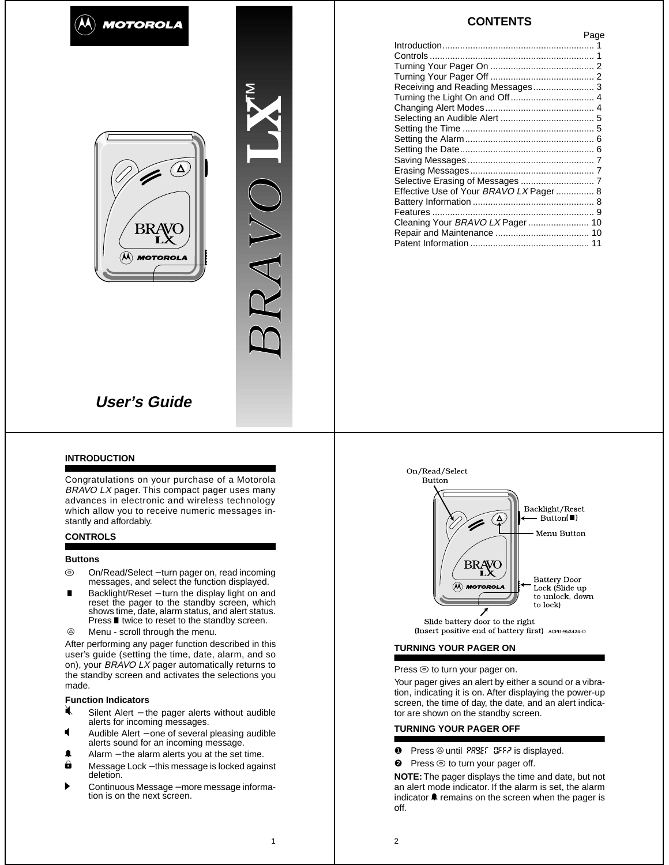





# **CONTENTS**

|                                         | Page |
|-----------------------------------------|------|
|                                         |      |
|                                         |      |
|                                         |      |
|                                         |      |
| Receiving and Reading Messages 3        |      |
|                                         |      |
|                                         |      |
|                                         |      |
|                                         |      |
|                                         |      |
|                                         |      |
|                                         |      |
|                                         |      |
|                                         |      |
| Effective Use of Your BRAVO LX Pager  8 |      |
|                                         |      |
|                                         |      |
| Cleaning Your BRAVO LX Pager  10        |      |
|                                         |      |
|                                         |      |
|                                         |      |

## **INTRODUCTION**

Congratulations on your purchase of a Motorola BRAVO LX pager. This compact pager uses many advances in electronic and wireless technology which allow you to receive numeric messages instantly and affordably.

## **CONTROLS**

#### **Buttons**

- $\odot$  On/Read/Select − turn pager on, read incoming messages, and select the function displayed.
- $\blacksquare$ ■ Backlight/Reset – turn the display light on and reset the pager to the standby screen, which shows time, date, alarm status, and alert status. Press ■ twice to reset to the standby screen.
- $\circledcirc$ Menu - scroll through the menu.

After performing any pager function described in this user's guide (setting the time, date, alarm, and so on), your BRAVO LX pager automatically returns to the standby screen and activates the selections you made.

# **Function Indicators**<br> **K** Silent Alert – the

- Silent Alert − the pager alerts without audible alerts for incoming messages.
- D Audible Alert − one of several pleasing audible alerts sound for an incoming message.
- **■** Alarm the alarm alerts you at the set time.
- → Mann are diam alone you at the set three.<br>
Message Lock this message is locked against deletion.
- → Continuous Message more message information is on the next screen.



Slide battery door to the right (Insert positive end of battery first) ACPB-952424-0

# **TURNING YOUR PAGER ON**

Press  $\odot$  to turn your pager on.

Your pager gives an alert by either a sound or a vibration, indicating it is on. After displaying the power-up screen, the time of day, the date, and an alert indicator are shown on the standby screen.

#### **TURNING YOUR PAGER OFF**

- **O** Press @ until PR9EF OFF? is displayed.
- <sup>●</sup> Press © to turn your pager off.

**NOTE:** The pager displays the time and date, but not an alert mode indicator. If the alarm is set, the alarm indicator  $\triangle$  remains on the screen when the pager is off.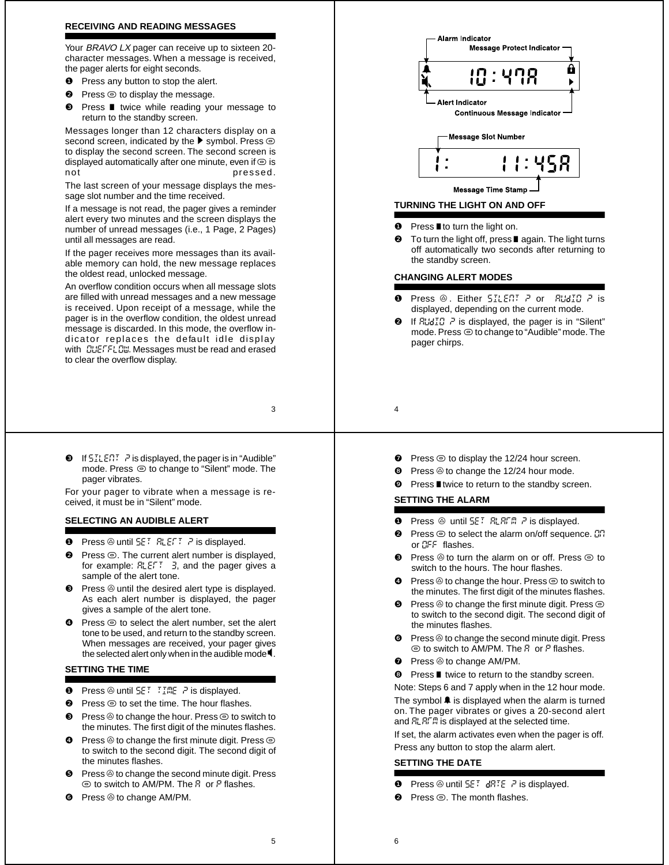### **RECEIVING AND READING MESSAGES**

Your BRAVO LX pager can receive up to sixteen 20character messages. When a message is received, the pager alerts for eight seconds.

- **O** Press any button to stop the alert.
- $\bullet$  Press  $\odot$  to display the message.
- <sup>**❸**</sup> Press twice while reading your message to return to the standby screen.

Messages longer than 12 characters display on a second screen, indicated by the  $\blacktriangleright$  symbol. Press  $\textcircled{\small{\circ}}$ to display the second screen. The second screen is displayed automatically after one minute, even if  $\odot$  is not pressed.

The last screen of your message displays the message slot number and the time received.

If a message is not read, the pager gives a reminder alert every two minutes and the screen displays the number of unread messages (i.e., 1 Page, 2 Pages) until all messages are read.

If the pager receives more messages than its available memory can hold, the new message replaces the oldest read, unlocked message.

An overflow condition occurs when all message slots are filled with unread messages and a new message is received. Upon receipt of a message, while the pager is in the overflow condition, the oldest unread message is discarded. In this mode, the overflow indicator replaces the default idle display with **CLIEFFLOW.** Messages must be read and erased to clear the overflow display.

- 3
- $\bullet$  If  $5ILERI$   $\geq$  is displayed, the pager is in "Audible" mode. Press  $\odot$  to change to "Silent" mode. The pager vibrates.

For your pager to vibrate when a message is received, it must be in "Silent" mode.

# **SELECTING AN AUDIBLE ALERT**

- **O** Press  $\circledcirc$  until  $5E^T$   $RLE^T$   $\bar{r}$  is displayed.
- ❷ Press W. The current alert number is displayed, for example:  $FLEFT = 3$ , and the pager gives a sample of the alert tone.
- ❸ Press Xuntil the desired alert type is displayed. As each alert number is displayed, the pager gives a sample of the alert tone.
- $\bullet$  Press  $\odot$  to select the alert number, set the alert tone to be used, and return to the standby screen. When messages are received, your pager gives the selected alert only when in the audible mode  $\P$ .

# **SETTING THE TIME**

- **O** Press  $\circledcirc$  until  $5E^T$   $\overline{t}$   $\overline{t}$   $\overline{t}$   $\overline{r}$  is displayed.
- $\bullet$  Press  $\odot$  to set the time. The hour flashes.
- $\bullet$  Press  $\circledcirc$  to change the hour. Press  $\circledcirc$  to switch to the minutes. The first digit of the minutes flashes.
- $\bullet$  Press  $\circledcirc$  to change the first minute digit. Press  $\circledcirc$ to switch to the second digit. The second digit of the minutes flashes.
- ❺ Press Xto change the second minute digit. Press  $\odot$  to switch to AM/PM. The  $R$  or  $P$  flashes.
- $\bullet$  Press  $\circledcirc$  to change AM/PM.



#### $\bullet$  Press **I** to turn the light on.

To turn the light off, press  $\blacksquare$  again. The light turns off automatically two seconds after returning to the standby screen.

### **CHANGING ALERT MODES**

- Press @. Either 5ILENT P or RUdIO P is displayed, depending on the current mode.
- If  $B \cup B \cup C$  ? is displayed, the pager is in "Silent" mode. Press  $\odot$  to change to "Audible" mode. The pager chirps.
- 4
	- Press  $\odot$  to display the 12/24 hour screen.
	- $\bullet$  Press  $\circledcirc$  to change the 12/24 hour mode.
	- Press twice to return to the standby screen.

# **SETTING THE ALARM**

- **O** Press  $\circledcirc$  until  $5E^T$   $R^T R^T R$   $\geq$  is displayed.
- Press  $\odot$  to select the alarm on/off sequence.  $\Box$ or CFF flashes.
- Press  $\circledcirc$  to turn the alarm on or off. Press  $\circledcirc$  to switch to the hours. The hour flashes.
- $\bullet$  Press  $\circledcirc$  to change the hour. Press  $\circledcirc$  to switch to the minutes. The first digit of the minutes flashes.
- Press  $\circledcirc$  to change the first minute digit. Press  $\circledcirc$ to switch to the second digit. The second digit of the minutes flashes.
- $\bullet$  Press  $\circledcirc$  to change the second minute digit. Press  $\odot$  to switch to AM/PM. The  $R$  or  $P$  flashes.
- **<sup>●</sup>** Press <sup>◎</sup> to change AM/PM.
- **☉** Press twice to return to the standby screen.

Note: Steps 6 and 7 apply when in the 12 hour mode. The symbol  $\triangleq$  is displayed when the alarm is turned on. The pager vibrates or gives a 20-second alert and  $RLRFR$  is displayed at the selected time.

If set, the alarm activates even when the pager is off. Press any button to stop the alarm alert.

#### **SETTING THE DATE**

- Press  $\circledcirc$  until  $5E$ :  $d$ RTE  $r^2$  is displayed.
- $Press \odot$  The month flashes.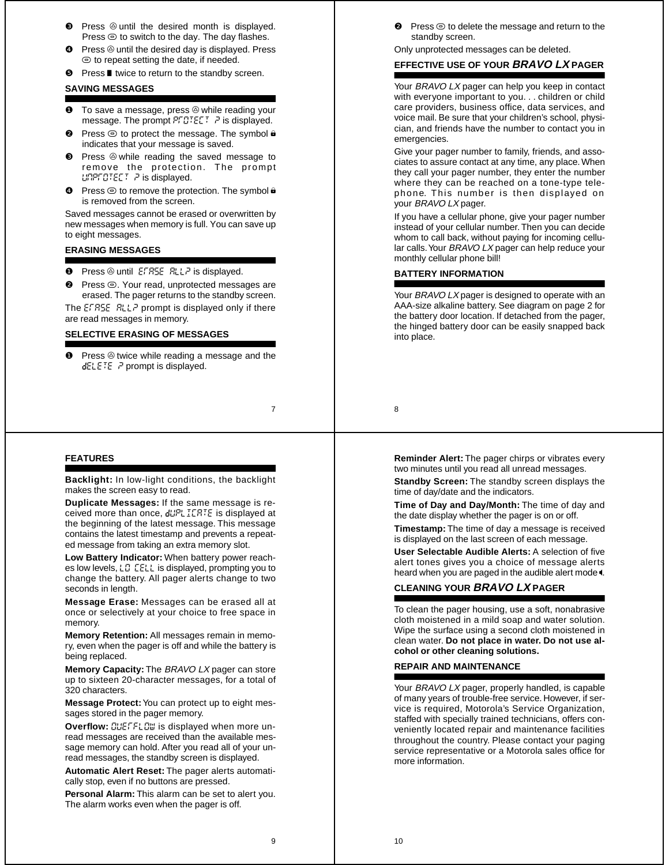- **8** Press  $\circledcirc$  until the desired month is displayed. Press  $\odot$  to switch to the day. The day flashes.
- ❹ Press Xuntil the desired day is displayed. Press  $\odot$  to repeat setting the date, if needed.
- **☉** Press twice to return to the standby screen.

# **SAVING MESSAGES**

- $\bullet$  To save a message, press  $\circledcirc$  while reading your message. The prompt  $P \cap C \subset \mathbb{R}$  ? is displayed.
- $\bullet$  Press  $\odot$  to protect the message. The symbol  $\bullet$ indicates that your message is saved.
- **<sup>3</sup>** Press  $\circledcirc$  while reading the saved message to remove the protection. The prompt unprotect ? is displayed.
- **■** Press  $\textcircled{}$  to remove the protection. The symbol **a** is removed from the screen.

Saved messages cannot be erased or overwritten by new messages when memory is full. You can save up to eight messages.

# **ERASING MESSAGES**

- **O** Press  $\circledcirc$  until EFRSE RLLP is displayed.
- <sup>●</sup> Press <sup>◎</sup>. Your read, unprotected messages are erased. The pager returns to the standby screen.

The  $ESTASE$   $RLL$  prompt is displayed only if there are read messages in memory.

### **SELECTIVE ERASING OF MESSAGES**

**O** Press  $\circledcirc$  twice while reading a message and the dELETE  $\vec{r}$  prompt is displayed.

7

### **FEATURES**

**Backlight:** In low-light conditions, the backlight makes the screen easy to read.

**Duplicate Messages:** If the same message is received more than once,  $d \mathcal{U} \mathbb{P} L \mathbb{I} \mathbb{C} H \mathbb{I} \mathbb{E}$  is displayed at the beginning of the latest message. This message contains the latest timestamp and prevents a repeated message from taking an extra memory slot.

**Low Battery Indicator:** When battery power reaches low levels,  $L\ddot{U}$   $EEL$  is displayed, prompting you to change the battery. All pager alerts change to two seconds in length.

**Message Erase:** Messages can be erased all at once or selectively at your choice to free space in memory.

**Memory Retention:** All messages remain in memory, even when the pager is off and while the battery is being replaced.

**Memory Capacity:** The BRAVO LX pager can store up to sixteen 20-character messages, for a total of 320 characters.

**Message Protect:** You can protect up to eight messages stored in the pager memory.

**Overflow: <b>BUEFFLB**W is displayed when more unread messages are received than the available message memory can hold. After you read all of your unread messages, the standby screen is displayed.

**Automatic Alert Reset:** The pager alerts automatically stop, even if no buttons are pressed.

**Personal Alarm:** This alarm can be set to alert you. The alarm works even when the pager is off.

 $Press \circledcirc$  to delete the message and return to the standby screen.

Only unprotected messages can be deleted.

# **EFFECTIVE USE OF YOUR BRAVO LX PAGER**

**@** Press<br>standk<br>Only unproximated Standard Windows EFFECTIV<br>Your *BRA*I with every<br>care provivious mail.<br>cian, and demergencic Give your relates to as<br>they call you have<br>intered by the phone. They where the phone of lar c Your BRAVO LX pager can help you keep in contact with everyone important to you. . . children or child care providers, business office, data services, and voice mail. Be sure that your children's school, physician, and friends have the number to contact you in emergencies.

Give your pager number to family, friends, and associates to assure contact at any time, any place. When they call your pager number, they enter the number where they can be reached on a tone-type telephone. This number is then displayed on your BRAVO LX pager.

If you have a cellular phone, give your pager number instead of your cellular number. Then you can decide whom to call back, without paying for incoming cellular calls. Your BRAVO LX pager can help reduce your monthly cellular phone bill!

#### **BATTERY INFORMATION**

Your BRAVO LX pager is designed to operate with an AAA-size alkaline battery. See diagram on page 2 for the battery door location. If detached from the pager, the hinged battery door can be easily snapped back into place.

8

**Reminder Alert:** The pager chirps or vibrates every two minutes until you read all unread messages.

**Standby Screen:** The standby screen displays the time of day/date and the indicators.

**Time of Day and Day/Month:** The time of day and the date display whether the pager is on or off.

**Timestamp:** The time of day a message is received is displayed on the last screen of each message.

**User Selectable Audible Alerts:** A selection of five alert tones gives you a choice of message alerts heard when you are paged in the audible alert mode 4.

# **CLEANING YOUR BRAVO LX PAGER**

To clean the pager housing, use a soft, nonabrasive cloth moistened in a mild soap and water solution. Wipe the surface using a second cloth moistened in clean water. **Do not place in water. Do not use alcohol or other cleaning solutions.**

### **REPAIR AND MAINTENANCE**

Your BRAVO LX pager, properly handled, is capable of many years of trouble-free service. However, if service is required, Motorola's Service Organization, staffed with specially trained technicians, offers conveniently located repair and maintenance facilities throughout the country. Please contact your paging service representative or a Motorola sales office for more information.